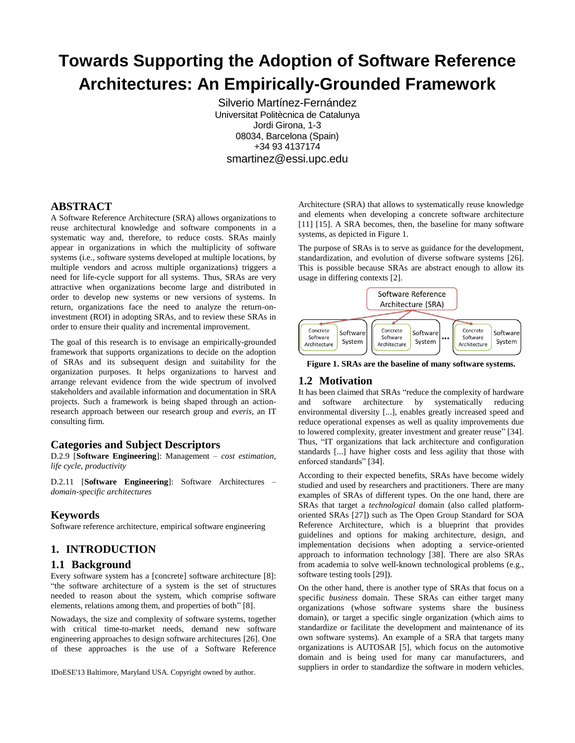# **Towards Supporting the Adoption of Software Reference Architectures: An Empirically-Grounded Framework**

Silverio Martínez-Fernández Universitat Politècnica de Catalunya Jordi Girona, 1-3 08034, Barcelona (Spain) +34 93 4137174 smartinez@essi.upc.edu

### **ABSTRACT**

A Software Reference Architecture (SRA) allows organizations to reuse architectural knowledge and software components in a systematic way and, therefore, to reduce costs. SRAs mainly appear in organizations in which the multiplicity of software systems (i.e., software systems developed at multiple locations, by multiple vendors and across multiple organizations) triggers a need for life-cycle support for all systems. Thus, SRAs are very attractive when organizations become large and distributed in order to develop new systems or new versions of systems. In return, organizations face the need to analyze the return-oninvestment (ROI) in adopting SRAs, and to review these SRAs in order to ensure their quality and incremental improvement.

The goal of this research is to envisage an empirically-grounded framework that supports organizations to decide on the adoption of SRAs and its subsequent design and suitability for the organization purposes. It helps organizations to harvest and arrange relevant evidence from the wide spectrum of involved stakeholders and available information and documentation in SRA projects. Such a framework is being shaped through an actionresearch approach between our research group and *everis*, an IT consulting firm.

### **Categories and Subject Descriptors**

D.2.9 [**Software Engineering**]: Management – *cost estimation, life cycle, productivity*

D.2.11 [**Software Engineering**]: Software Architectures – *domain-specific architectures*

### **Keywords**

Software reference architecture, empirical software engineering

# **1. INTRODUCTION**

### **1.1 Background**

Every software system has a [concrete] software architecture [\[8\]:](#page-7-0) "the software architecture of a system is the set of structures needed to reason about the system, which comprise software elements, relations among them, and properties of both" [\[8\].](#page-7-0)

Nowadays, the size and complexity of software systems, together with critical time-to-market needs, demand new software engineering approaches to design software architectures [\[26\].](#page-7-1) One of these approaches is the use of a Software Reference

Architecture (SRA) that allows to systematically reuse knowledge and elements when developing a concrete software architecture [\[11\]](#page-7-2) [\[15\].](#page-7-3) A SRA becomes, then, the baseline for many software systems, as depicted i[n Figure 1.](#page-0-0)

The purpose of SRAs is to serve as guidance for the development, standardization, and evolution of diverse software systems [\[26\].](#page-7-1) This is possible because SRAs are abstract enough to allow its usage in differing contexts [\[2\].](#page-6-0)



<span id="page-0-0"></span>**Figure 1. SRAs are the baseline of many software systems.**

### <span id="page-0-1"></span>**1.2 Motivation**

It has been claimed that SRAs "reduce the complexity of hardware and software architecture by systematically reducing environmental diversity [...], enables greatly increased speed and reduce operational expenses as well as quality improvements due to lowered complexity, greater investment and greater reuse" [\[34\].](#page-7-4) Thus, "IT organizations that lack architecture and configuration standards [...] have higher costs and less agility that those with enforced standards" [\[34\].](#page-7-4)

According to their expected benefits, SRAs have become widely studied and used by researchers and practitioners. There are many examples of SRAs of different types. On the one hand, there are SRAs that target a *technological* domain (also called platformoriented SRAs [\[27\]\)](#page-7-5) such as The Open Group Standard for SOA Reference Architecture, which is a blueprint that provides guidelines and options for making architecture, design, and implementation decisions when adopting a service-oriented approach to information technology [\[38\].](#page-7-6) There are also SRAs from academia to solve well-known technological problems (e.g., software testing tools [\[29\]\)](#page-7-7).

On the other hand, there is another type of SRAs that focus on a specific *business* domain. These SRAs can either target many organizations (whose software systems share the business domain), or target a specific single organization (which aims to standardize or facilitate the development and maintenance of its own software systems). An example of a SRA that targets many organizations is AUTOSAR [\[5\],](#page-6-1) which focus on the automotive domain and is being used for many car manufacturers, and suppliers in order to standardize the software in modern vehicles. IDoESE'13 Baltimore, Maryland USA. Copyright owned by author.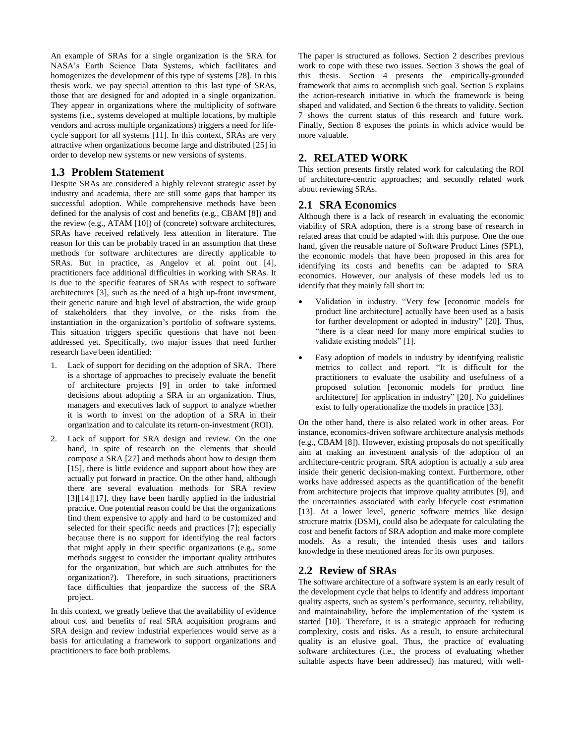An example of SRAs for a single organization is the SRA for NASA's Earth Science Data Systems, which facilitates and homogenizes the development of this type of systems [\[28\].](#page-7-8) In this thesis work, we pay special attention to this last type of SRAs, those that are designed for and adopted in a single organization. They appear in organizations where the multiplicity of software systems (i.e., systems developed at multiple locations, by multiple vendors and across multiple organizations) triggers a need for lifecycle support for all systems [\[11\].](#page-7-2) In this context, SRAs are very attractive when organizations become large and distributed [\[25\]](#page-7-9) in order to develop new systems or new versions of systems.

### <span id="page-1-1"></span>**1.3 Problem Statement**

Despite SRAs are considered a highly relevant strategic asset by industry and academia, there are still some gaps that hamper its successful adoption. While comprehensive methods have been defined for the analysis of cost and benefits (e.g., CBA[M \[8\]\)](#page-7-0) and the review (e.g., ATAM [\[10\]\)](#page-7-10) of (concrete) software architectures, SRAs have received relatively less attention in literature. The reason for this can be probably traced in an assumption that these methods for software architectures are directly applicable to SRAs. But in practice, as Angelov et al. point out [\[4\],](#page-6-2) practitioners face additional difficulties in working with SRAs. It is due to the specific features of SRAs with respect to software architectures [\[3\],](#page-6-3) such as the need of a high up-front investment, their generic nature and high level of abstraction, the wide group of stakeholders that they involve, or the risks from the instantiation in the organization's portfolio of software systems. This situation triggers specific questions that have not been addressed yet. Specifically, two major issues that need further research have been identified:

- 1. Lack of support for deciding on the adoption of SRA. There is a shortage of approaches to precisely evaluate the benefit of architecture projects [\[9\]](#page-7-11) in order to take informed decisions about adopting a SRA in an organization. Thus, managers and executives lack of support to analyze whether it is worth to invest on the adoption of a SRA in their organization and to calculate its return-on-investment (ROI).
- 2. Lack of support for SRA design and review. On the one hand, in spite of research on the elements that should compose a SRA [\[27\]](#page-7-5) and methods about how to design them [\[15\],](#page-7-3) there is little evidence and support about how they are actually put forward in practice. On the other hand, although there are several evaluation methods for SRA review [\[3\]\[14\]](#page-6-3)[\[17\],](#page-7-12) they have been hardly applied in the industrial practice. One potential reason could be that the organizations find them expensive to apply and hard to be customized and selected for their specific needs and practices [\[7\];](#page-7-13) especially because there is no support for identifying the real factors that might apply in their specific organizations (e.g., some methods suggest to consider the important quality attributes for the organization, but which are such attributes for the organization?). Therefore, in such situations, practitioners face difficulties that jeopardize the success of the SRA project.

In this context, we greatly believe that the availability of evidence about cost and benefits of real SRA acquisition programs and SRA design and review industrial experiences would serve as a basis for articulating a framework to support organizations and practitioners to face both problems.

The paper is structured as follows. Section [2](#page-1-0) describes previous work to cope with these two issues. Section [3](#page-2-0) shows the goal of this thesis. Section [4](#page-3-0) presents the empirically-grounded framework that aims to accomplish such goal. Section [5](#page-4-0) explains the action-research initiative in which the framework is being shaped and validated, and Section [6](#page-5-0) the threats to validity. Section [7](#page-6-4) shows the current status of this research and future work. Finally, Section [8](#page-6-5) exposes the points in which advice would be more valuable.

## <span id="page-1-0"></span>**2. RELATED WORK**

This section presents firstly related work for calculating the ROI of architecture-centric approaches; and secondly related work about reviewing SRAs.

#### **2.1 SRA Economics**

Although there is a lack of research in evaluating the economic viability of SRA adoption, there is a strong base of research in related areas that could be adapted with this purpose. One the one hand, given the reusable nature of Software Product Lines (SPL), the economic models that have been proposed in this area for identifying its costs and benefits can be adapted to SRA economics. However, our analysis of these models led us to identify that they mainly fall short in:

- Validation in industry. "Very few [economic models for product line architecture] actually have been used as a basis for further development or adopted in industry" [\[20\].](#page-7-14) Thus, "there is a clear need for many more empirical studies to validate existing models" [\[1\].](#page-6-6)
- Easy adoption of models in industry by identifying realistic metrics to collect and report. "It is difficult for the practitioners to evaluate the usability and usefulness of a proposed solution [economic models for product line architecture] for application in industry" [\[20\].](#page-7-14) No guidelines exist to fully operationalize the models in practic[e \[33\].](#page-7-15)

On the other hand, there is also related work in other areas. For instance, economics-driven software architecture analysis methods (e.g., CBAM [\[8\]\)](#page-7-0). However, existing proposals do not specifically aim at making an investment analysis of the adoption of an architecture-centric program. SRA adoption is actually a sub area inside their generic decision-making context. Furthermore, other works have addressed aspects as the quantification of the benefit from architecture projects that improve quality attributes [\[9\],](#page-7-11) and the uncertainties associated with early lifecycle cost estimation [\[13\].](#page-7-16) At a lower level, generic software metrics like design structure matrix (DSM), could also be adequate for calculating the cost and benefit factors of SRA adoption and make more complete models. As a result, the intended thesis uses and tailors knowledge in these mentioned areas for its own purposes.

### <span id="page-1-2"></span>**2.2 Review of SRAs**

The software architecture of a software system is an early result of the development cycle that helps to identify and address important quality aspects, such as system's performance, security, reliability, and maintainability, before the implementation of the system is started [\[10\].](#page-7-10) Therefore, it is a strategic approach for reducing complexity, costs and risks. As a result, to ensure architectural quality is an elusive goal. Thus, the practice of evaluating software architectures (i.e., the process of evaluating whether suitable aspects have been addressed) has matured, with well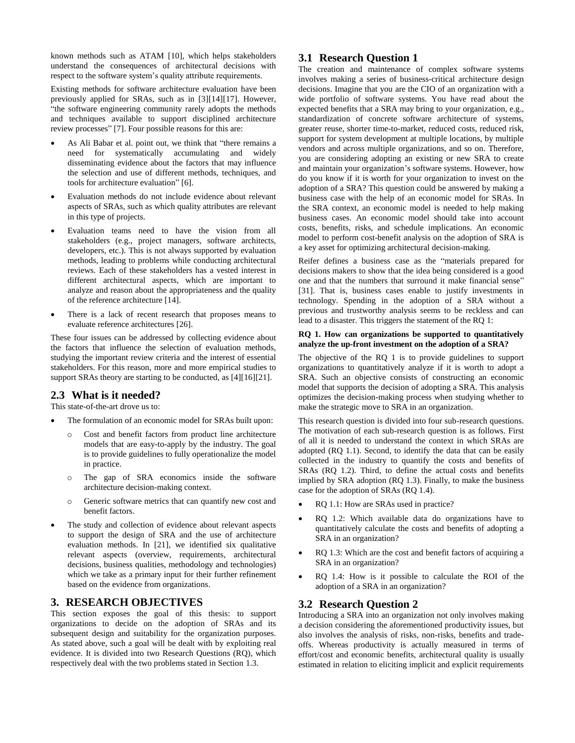known methods such as ATAM [\[10\],](#page-7-10) which helps stakeholders understand the consequences of architectural decisions with respect to the software system's quality attribute requirements.

Existing methods for software architecture evaluation have been previously applied for SRAs, such as in [\[3\]\[14\]](#page-6-3)[\[17\].](#page-7-12) However, "the software engineering community rarely adopts the methods and techniques available to support disciplined architecture review processes" [\[7\].](#page-7-13) Four possible reasons for this are:

- As Ali Babar et al. point out, we think that "there remains a need for systematically accumulating and widely disseminating evidence about the factors that may influence the selection and use of different methods, techniques, and tools for architecture evaluation" [\[6\].](#page-6-7)
- Evaluation methods do not include evidence about relevant aspects of SRAs, such as which quality attributes are relevant in this type of projects.
- Evaluation teams need to have the vision from all stakeholders (e.g., project managers, software architects, developers, etc.). This is not always supported by evaluation methods, leading to problems while conducting architectural reviews. Each of these stakeholders has a vested interest in different architectural aspects, which are important to analyze and reason about the appropriateness and the quality of the reference architectur[e \[14\].](#page-7-17)
- There is a lack of recent research that proposes means to evaluate reference architectures [\[26\].](#page-7-1)

These four issues can be addressed by collecting evidence about the factors that influence the selection of evaluation methods, studying the important review criteria and the interest of essential stakeholders. For this reason, more and more empirical studies to support SRAs theory are starting to be conducted, as [\[4\]\[16\]](#page-6-2)[\[21\].](#page-7-18)

### **2.3 What is it needed?**

This state-of-the-art drove us to:

- The formulation of an economic model for SRAs built upon:
	- o Cost and benefit factors from product line architecture models that are easy-to-apply by the industry. The goal is to provide guidelines to fully operationalize the model in practice.
	- o The gap of SRA economics inside the software architecture decision-making context.
	- o Generic software metrics that can quantify new cost and benefit factors.
- The study and collection of evidence about relevant aspects to support the design of SRA and the use of architecture evaluation methods. In [21], we identified six qualitative relevant aspects (overview, requirements, architectural decisions, business qualities, methodology and technologies) which we take as a primary input for their further refinement based on the evidence from organizations.

### <span id="page-2-0"></span>**3. RESEARCH OBJECTIVES**

This section exposes the goal of this thesis: to support organizations to decide on the adoption of SRAs and its subsequent design and suitability for the organization purposes. As stated above, such a goal will be dealt with by exploiting real evidence. It is divided into two Research Questions (RQ), which respectively deal with the two problems stated in Section [1.3.](#page-1-1)

#### **3.1 Research Question 1**

The creation and maintenance of complex software systems involves making a series of business-critical architecture design decisions. Imagine that you are the CIO of an organization with a wide portfolio of software systems. You have read about the expected benefits that a SRA may bring to your organization, e.g., standardization of concrete software architecture of systems, greater reuse, shorter time-to-market, reduced costs, reduced risk, support for system development at multiple locations, by multiple vendors and across multiple organizations, and so on. Therefore, you are considering adopting an existing or new SRA to create and maintain your organization's software systems. However, how do you know if it is worth for your organization to invest on the adoption of a SRA? This question could be answered by making a business case with the help of an economic model for SRAs. In the SRA context, an economic model is needed to help making business cases. An economic model should take into account costs, benefits, risks, and schedule implications. An economic model to perform cost-benefit analysis on the adoption of SRA is a key asset for optimizing architectural decision-making.

Reifer defines a business case as the "materials prepared for decisions makers to show that the idea being considered is a good one and that the numbers that surround it make financial sense" [\[31\].](#page-7-19) That is, business cases enable to justify investments in technology. Spending in the adoption of a SRA without a previous and trustworthy analysis seems to be reckless and can lead to a disaster. This triggers the statement of the RQ 1:

#### **RQ 1. How can organizations be supported to quantitatively analyze the up-front investment on the adoption of a SRA?**

The objective of the RQ 1 is to provide guidelines to support organizations to quantitatively analyze if it is worth to adopt a SRA. Such an objective consists of constructing an economic model that supports the decision of adopting a SRA. This analysis optimizes the decision-making process when studying whether to make the strategic move to SRA in an organization.

This research question is divided into four sub-research questions. The motivation of each sub-research question is as follows. First of all it is needed to understand the context in which SRAs are adopted (RQ 1.1). Second, to identify the data that can be easily collected in the industry to quantify the costs and benefits of SRAs (RQ 1.2). Third, to define the actual costs and benefits implied by SRA adoption (RQ 1.3). Finally, to make the business case for the adoption of SRAs (RQ 1.4).

- RQ 1.1: How are SRAs used in practice?
- RQ 1.2: Which available data do organizations have to quantitatively calculate the costs and benefits of adopting a SRA in an organization?
- RQ 1.3: Which are the cost and benefit factors of acquiring a SRA in an organization?
- RQ 1.4: How is it possible to calculate the ROI of the adoption of a SRA in an organization?

#### **3.2 Research Question 2**

Introducing a SRA into an organization not only involves making a decision considering the aforementioned productivity issues, but also involves the analysis of risks, non-risks, benefits and tradeoffs. Whereas productivity is actually measured in terms of effort/cost and economic benefits, architectural quality is usually estimated in relation to eliciting implicit and explicit requirements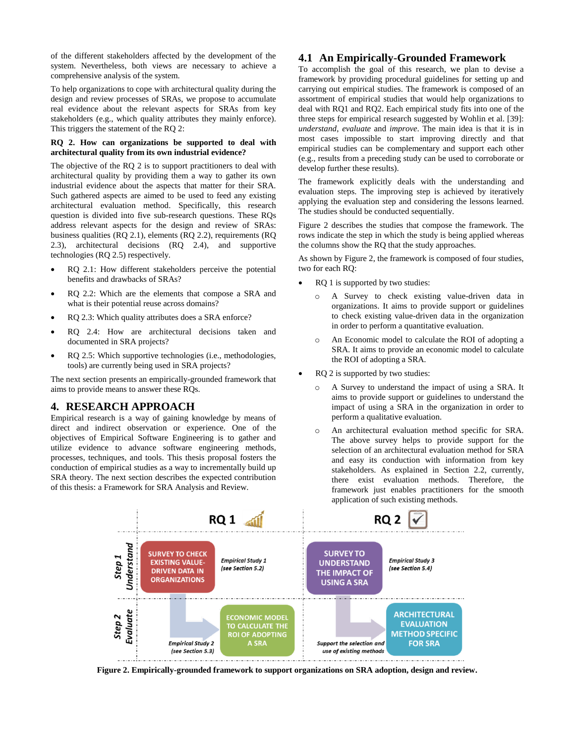of the different stakeholders affected by the development of the system. Nevertheless, both views are necessary to achieve a comprehensive analysis of the system.

To help organizations to cope with architectural quality during the design and review processes of SRAs, we propose to accumulate real evidence about the relevant aspects for SRAs from key stakeholders (e.g., which quality attributes they mainly enforce). This triggers the statement of the RQ 2:

#### **RQ 2. How can organizations be supported to deal with architectural quality from its own industrial evidence?**

The objective of the RQ 2 is to support practitioners to deal with architectural quality by providing them a way to gather its own industrial evidence about the aspects that matter for their SRA. Such gathered aspects are aimed to be used to feed any existing architectural evaluation method. Specifically, this research question is divided into five sub-research questions. These RQs address relevant aspects for the design and review of SRAs: business qualities (RQ 2.1), elements (RQ 2.2), requirements (RQ 2.3), architectural decisions (RQ 2.4), and supportive technologies (RQ 2.5) respectively.

- RQ 2.1: How different stakeholders perceive the potential benefits and drawbacks of SRAs?
- RQ 2.2: Which are the elements that compose a SRA and what is their potential reuse across domains?
- RQ 2.3: Which quality attributes does a SRA enforce?
- RQ 2.4: How are architectural decisions taken and documented in SRA projects?
- RQ 2.5: Which supportive technologies (i.e., methodologies, tools) are currently being used in SRA projects?

The next section presents an empirically-grounded framework that aims to provide means to answer these RQs.

#### <span id="page-3-0"></span>**4. RESEARCH APPROACH**

Empirical research is a way of gaining knowledge by means of direct and indirect observation or experience. One of the objectives of Empirical Software Engineering is to gather and utilize evidence to advance software engineering methods, processes, techniques, and tools. This thesis proposal fosters the conduction of empirical studies as a way to incrementally build up SRA theory. The next section describes the expected contribution of this thesis: a Framework for SRA Analysis and Review.

#### **4.1 An Empirically-Grounded Framework**

To accomplish the goal of this research, we plan to devise a framework by providing procedural guidelines for setting up and carrying out empirical studies. The framework is composed of an assortment of empirical studies that would help organizations to deal with RQ1 and RQ2. Each empirical study fits into one of the three steps for empirical research suggested by Wohlin et al. [\[39\]:](#page-7-20) *understand*, *evaluate* and *improve*. The main idea is that it is in most cases impossible to start improving directly and that empirical studies can be complementary and support each other (e.g., results from a preceding study can be used to corroborate or develop further these results).

The framework explicitly deals with the understanding and evaluation steps. The improving step is achieved by iteratively applying the evaluation step and considering the lessons learned. The studies should be conducted sequentially.

[Figure 2](#page-3-1) describes the studies that compose the framework. The rows indicate the step in which the study is being applied whereas the columns show the RQ that the study approaches.

As shown by [Figure 2,](#page-3-1) the framework is composed of four studies, two for each RQ:

- RQ 1 is supported by two studies:
	- o A Survey to check existing value-driven data in organizations. It aims to provide support or guidelines to check existing value-driven data in the organization in order to perform a quantitative evaluation.
	- o An Economic model to calculate the ROI of adopting a SRA. It aims to provide an economic model to calculate the ROI of adopting a SRA.
- RQ 2 is supported by two studies:
	- A Survey to understand the impact of using a SRA. It aims to provide support or guidelines to understand the impact of using a SRA in the organization in order to perform a qualitative evaluation.
	- o An architectural evaluation method specific for SRA. The above survey helps to provide support for the selection of an architectural evaluation method for SRA and easy its conduction with information from key stakeholders. As explained in Section [2.2,](#page-1-2) currently, there exist evaluation methods. Therefore, the framework just enables practitioners for the smooth application of such existing methods.



<span id="page-3-1"></span>**Figure 2. Empirically-grounded framework to support organizations on SRA adoption, design and review.**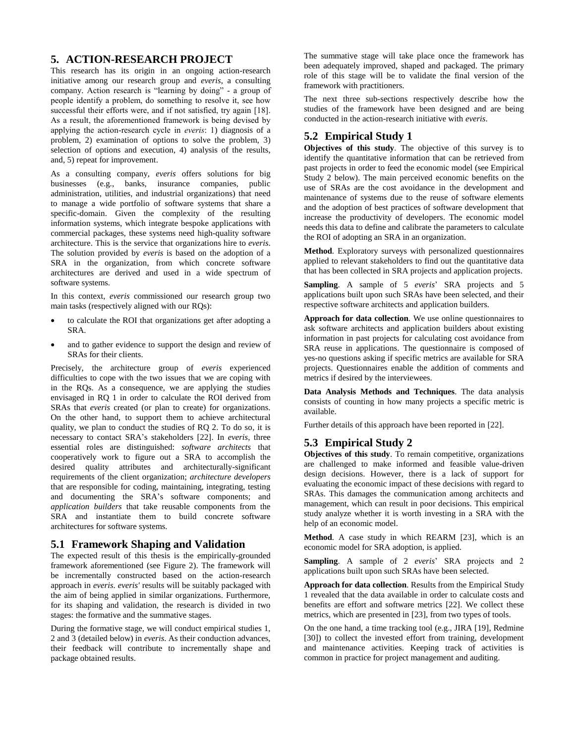#### <span id="page-4-0"></span>**5. ACTION-RESEARCH PROJECT**

This research has its origin in an ongoing action-research initiative among our research group and *everis*, a consulting company. Action research is "learning by doing" - a group of people identify a problem, do something to resolve it, see how successful their efforts were, and if not satisfied, try again [\[18\].](#page-7-21) As a result, the aforementioned framework is being devised by applying the action-research cycle in *everis*: 1) diagnosis of a problem, 2) examination of options to solve the problem, 3) selection of options and execution, 4) analysis of the results, and, 5) repeat for improvement.

As a consulting company, *everis* offers solutions for big businesses (e.g., banks, insurance companies, public administration, utilities, and industrial organizations) that need to manage a wide portfolio of software systems that share a specific-domain. Given the complexity of the resulting information systems, which integrate bespoke applications with commercial packages, these systems need high-quality software architecture. This is the service that organizations hire to *everis*. The solution provided by *everis* is based on the adoption of a SRA in the organization, from which concrete software architectures are derived and used in a wide spectrum of software systems.

In this context, *everis* commissioned our research group two main tasks (respectively aligned with our RQs):

- to calculate the ROI that organizations get after adopting a SRA.
- and to gather evidence to support the design and review of SRAs for their clients.

Precisely, the architecture group of *everis* experienced difficulties to cope with the two issues that we are coping with in the RQs. As a consequence, we are applying the studies envisaged in RQ 1 in order to calculate the ROI derived from SRAs that *everis* created (or plan to create) for organizations. On the other hand, to support them to achieve architectural quality, we plan to conduct the studies of RQ 2. To do so, it is necessary to contact SRA's stakeholders [\[22\].](#page-7-22) In *everis*, three essential roles are distinguished: *software architects* that cooperatively work to figure out a SRA to accomplish the desired quality attributes and architecturally-significant requirements of the client organization; *architecture developers* that are responsible for coding, maintaining, integrating, testing and documenting the SRA's software components; and *application builders* that take reusable components from the SRA and instantiate them to build concrete software architectures for software systems.

#### **5.1 Framework Shaping and Validation**

The expected result of this thesis is the empirically-grounded framework aforementioned (see [Figure 2\)](#page-3-1). The framework will be incrementally constructed based on the action-research approach in *everis*. *everis'* results will be suitably packaged with the aim of being applied in similar organizations. Furthermore, for its shaping and validation, the research is divided in two stages: the formative and the summative stages.

During the formative stage, we will conduct empirical studies 1, 2 and 3 (detailed below) in *everis*. As their conduction advances, their feedback will contribute to incrementally shape and package obtained results.

The summative stage will take place once the framework has been adequately improved, shaped and packaged. The primary role of this stage will be to validate the final version of the framework with practitioners.

The next three sub-sections respectively describe how the studies of the framework have been designed and are being conducted in the action-research initiative with *everis*.

# **5.2 Empirical Study 1**

**Objectives of this study**. The objective of this survey is to identify the quantitative information that can be retrieved from past projects in order to feed the economic model (see Empirical Study 2 below). The main perceived economic benefits on the use of SRAs are the cost avoidance in the development and maintenance of systems due to the reuse of software elements and the adoption of best practices of software development that increase the productivity of developers. The economic model needs this data to define and calibrate the parameters to calculate the ROI of adopting an SRA in an organization.

**Method**. Exploratory surveys with personalized questionnaires applied to relevant stakeholders to find out the quantitative data that has been collected in SRA projects and application projects.

**Sampling**. A sample of 5 *everis*' SRA projects and 5 applications built upon such SRAs have been selected, and their respective software architects and application builders.

**Approach for data collection**. We use online questionnaires to ask software architects and application builders about existing information in past projects for calculating cost avoidance from SRA reuse in applications. The questionnaire is composed of yes-no questions asking if specific metrics are available for SRA projects. Questionnaires enable the addition of comments and metrics if desired by the interviewees.

**Data Analysis Methods and Techniques**. The data analysis consists of counting in how many projects a specific metric is available.

Further details of this approach have been reported in [\[22\].](#page-7-22)

# **5.3 Empirical Study 2**

**Objectives of this study**. To remain competitive, organizations are challenged to make informed and feasible value-driven design decisions. However, there is a lack of support for evaluating the economic impact of these decisions with regard to SRAs. This damages the communication among architects and management, which can result in poor decisions. This empirical study analyze whether it is worth investing in a SRA with the help of an economic model.

**Method**. A case study in which REARM [\[23\],](#page-7-23) which is an economic model for SRA adoption, is applied.

**Sampling**. A sample of 2 *everis*' SRA projects and 2 applications built upon such SRAs have been selected.

**Approach for data collection**. Results from the Empirical Study 1 revealed that the data available in order to calculate costs and benefits are effort and software metrics [\[22\].](#page-7-22) We collect these metrics, which are presented in [\[23\],](#page-7-23) from two types of tools.

On the one hand, a time tracking tool (e.g., JIRA [\[19\],](#page-7-24) Redmine [\[30\]\)](#page-7-25) to collect the invested effort from training, development and maintenance activities. Keeping track of activities is common in practice for project management and auditing.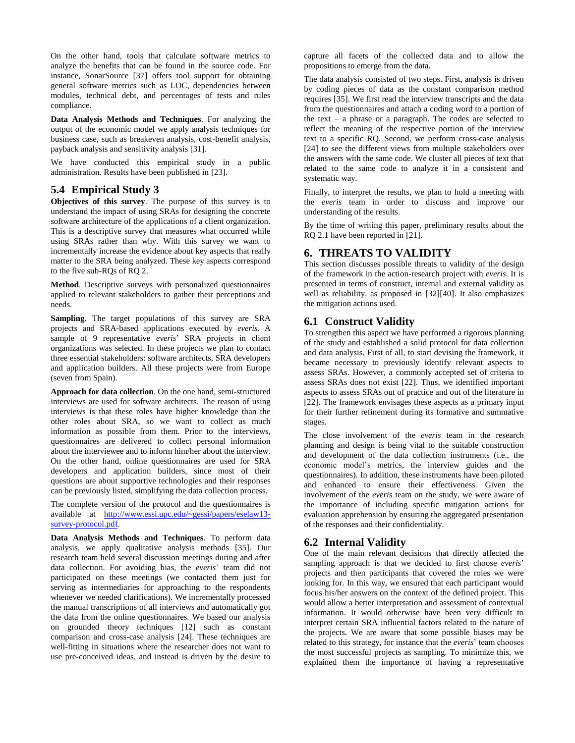On the other hand, tools that calculate software metrics to analyze the benefits that can be found in the source code. For instance, SonarSource [\[37\]](#page-7-26) offers tool support for obtaining general software metrics such as LOC, dependencies between modules, technical debt, and percentages of tests and rules compliance.

**Data Analysis Methods and Techniques**. For analyzing the output of the economic model we apply analysis techniques for business case, such as breakeven analysis, cost-benefit analysis, payback analysis and sensitivity analysi[s \[31\].](#page-7-19)

We have conducted this empirical study in a public administration. Results have been published in [\[23\].](#page-7-23)

### **5.4 Empirical Study 3**

**Objectives of this survey**. The purpose of this survey is to understand the impact of using SRAs for designing the concrete software architecture of the applications of a client organization. This is a descriptive survey that measures what occurred while using SRAs rather than why. With this survey we want to incrementally increase the evidence about key aspects that really matter to the SRA being analyzed. These key aspects correspond to the five sub-RQs of RQ 2.

**Method**. Descriptive surveys with personalized questionnaires applied to relevant stakeholders to gather their perceptions and needs.

**Sampling**. The target populations of this survey are SRA projects and SRA-based applications executed by *everis*. A sample of 9 representative *everis*' SRA projects in client organizations was selected. In these projects we plan to contact three essential stakeholders: software architects, SRA developers and application builders. All these projects were from Europe (seven from Spain).

**Approach for data collection**. On the one hand, semi-structured interviews are used for software architects. The reason of using interviews is that these roles have higher knowledge than the other roles about SRA, so we want to collect as much information as possible from them. Prior to the interviews, questionnaires are delivered to collect personal information about the interviewee and to inform him/her about the interview. On the other hand, online questionnaires are used for SRA developers and application builders, since most of their questions are about supportive technologies and their responses can be previously listed, simplifying the data collection process.

The complete version of the protocol and the questionnaires is available at [http://www.essi.upc.edu/~gessi/papers/eselaw13](http://www.essi.upc.edu/~gessi/papers/eselaw13-survey-protocol.pdf) [survey-protocol.pdf.](http://www.essi.upc.edu/~gessi/papers/eselaw13-survey-protocol.pdf)

**Data Analysis Methods and Techniques**. To perform data analysis, we apply qualitative analysis methods [\[35\].](#page-7-27) Our research team held several discussion meetings during and after data collection. For avoiding bias, the *everis*' team did not participated on these meetings (we contacted them just for serving as intermediaries for approaching to the respondents whenever we needed clarifications). We incrementally processed the manual transcriptions of all interviews and automatically got the data from the online questionnaires. We based our analysis on grounded theory techniques [\[12\]](#page-7-28) such as constant comparison and cross-case analysis [\[24\].](#page-7-29) These techniques are well-fitting in situations where the researcher does not want to use pre-conceived ideas, and instead is driven by the desire to

capture all facets of the collected data and to allow the propositions to emerge from the data.

The data analysis consisted of two steps. First, analysis is driven by coding pieces of data as the constant comparison method requires [\[35\].](#page-7-27) We first read the interview transcripts and the data from the questionnaires and attach a coding word to a portion of the text – a phrase or a paragraph. The codes are selected to reflect the meaning of the respective portion of the interview text to a specific RQ. Second, we perform cross-case analysis [\[24\]](#page-7-29) to see the different views from multiple stakeholders over the answers with the same code. We cluster all pieces of text that related to the same code to analyze it in a consistent and systematic way.

Finally, to interpret the results, we plan to hold a meeting with the *everis* team in order to discuss and improve our understanding of the results.

By the time of writing this paper, preliminary results about the RQ 2.1 have been reported i[n \[21\].](#page-7-18)

# <span id="page-5-0"></span>**6. THREATS TO VALIDITY**

This section discusses possible threats to validity of the design of the framework in the action-research project with *everis*. It is presented in terms of construct, internal and external validity as well as reliability, as proposed in [\[32\]\[40\].](#page-7-30) It also emphasizes the mitigation actions used.

### **6.1 Construct Validity**

To strengthen this aspect we have performed a rigorous planning of the study and established a solid protocol for data collection and data analysis. First of all, to start devising the framework, it became necessary to previously identify relevant aspects to assess SRAs. However, a commonly accepted set of criteria to assess SRAs does not exist [\[22\].](#page-7-22) Thus, we identified important aspects to assess SRAs out of practice and out of the literature in [\[22\].](#page-7-22) The framework envisages these aspects as a primary input for their further refinement during its formative and summative stages.

The close involvement of the *everis* team in the research planning and design is being vital to the suitable construction and development of the data collection instruments (i.e., the economic model's metrics, the interview guides and the questionnaires). In addition, these instruments have been piloted and enhanced to ensure their effectiveness. Given the involvement of the *everis* team on the study, we were aware of the importance of including specific mitigation actions for evaluation apprehension by ensuring the aggregated presentation of the responses and their confidentiality.

### **6.2 Internal Validity**

One of the main relevant decisions that directly affected the sampling approach is that we decided to first choose *everis*' projects and then participants that covered the roles we were looking for. In this way, we ensured that each participant would focus his/her answers on the context of the defined project. This would allow a better interpretation and assessment of contextual information. It would otherwise have been very difficult to interpret certain SRA influential factors related to the nature of the projects. We are aware that some possible biases may be related to this strategy, for instance that the *everis*' team chooses the most successful projects as sampling. To minimize this, we explained them the importance of having a representative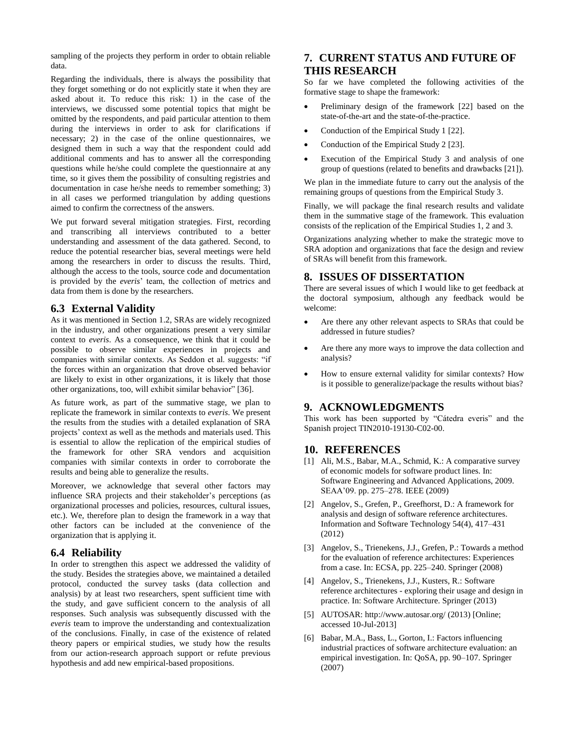sampling of the projects they perform in order to obtain reliable data.

Regarding the individuals, there is always the possibility that they forget something or do not explicitly state it when they are asked about it. To reduce this risk: 1) in the case of the interviews, we discussed some potential topics that might be omitted by the respondents, and paid particular attention to them during the interviews in order to ask for clarifications if necessary; 2) in the case of the online questionnaires, we designed them in such a way that the respondent could add additional comments and has to answer all the corresponding questions while he/she could complete the questionnaire at any time, so it gives them the possibility of consulting registries and documentation in case he/she needs to remember something; 3) in all cases we performed triangulation by adding questions aimed to confirm the correctness of the answers.

We put forward several mitigation strategies. First, recording and transcribing all interviews contributed to a better understanding and assessment of the data gathered. Second, to reduce the potential researcher bias, several meetings were held among the researchers in order to discuss the results. Third, although the access to the tools, source code and documentation is provided by the *everis*' team, the collection of metrics and data from them is done by the researchers.

#### **6.3 External Validity**

As it was mentioned in Section [1.2,](#page-0-1) SRAs are widely recognized in the industry, and other organizations present a very similar context to *everis*. As a consequence, we think that it could be possible to observe similar experiences in projects and companies with similar contexts. As Seddon et al. suggests: "if the forces within an organization that drove observed behavior are likely to exist in other organizations, it is likely that those other organizations, too, will exhibit similar behavior[" \[36\].](#page-7-31)

As future work, as part of the summative stage, we plan to replicate the framework in similar contexts to *everis*. We present the results from the studies with a detailed explanation of SRA projects' context as well as the methods and materials used. This is essential to allow the replication of the empirical studies of the framework for other SRA vendors and acquisition companies with similar contexts in order to corroborate the results and being able to generalize the results.

Moreover, we acknowledge that several other factors may influence SRA projects and their stakeholder's perceptions (as organizational processes and policies, resources, cultural issues, etc.). We, therefore plan to design the framework in a way that other factors can be included at the convenience of the organization that is applying it.

#### **6.4 Reliability**

In order to strengthen this aspect we addressed the validity of the study. Besides the strategies above, we maintained a detailed protocol, conducted the survey tasks (data collection and analysis) by at least two researchers, spent sufficient time with the study, and gave sufficient concern to the analysis of all responses. Such analysis was subsequently discussed with the *everis* team to improve the understanding and contextualization of the conclusions. Finally, in case of the existence of related theory papers or empirical studies, we study how the results from our action-research approach support or refute previous hypothesis and add new empirical-based propositions.

# <span id="page-6-4"></span>**7. CURRENT STATUS AND FUTURE OF THIS RESEARCH**

So far we have completed the following activities of the formative stage to shape the framework:

- Preliminary design of the framework [\[22\]](#page-7-22) based on the state-of-the-art and the state-of-the-practice.
- Conduction of the Empirical Study 1 [\[22\].](#page-7-22)
- Conduction of the Empirical Study 2 [23].
- Execution of the Empirical Study 3 and analysis of one group of questions (related to benefits and drawbacks [\[21\]\)](#page-7-18).

We plan in the immediate future to carry out the analysis of the remaining groups of questions from the Empirical Study 3.

Finally, we will package the final research results and validate them in the summative stage of the framework. This evaluation consists of the replication of the Empirical Studies 1, 2 and 3.

Organizations analyzing whether to make the strategic move to SRA adoption and organizations that face the design and review of SRAs will benefit from this framework.

#### <span id="page-6-5"></span>**8. ISSUES OF DISSERTATION**

There are several issues of which I would like to get feedback at the doctoral symposium, although any feedback would be welcome:

- Are there any other relevant aspects to SRAs that could be addressed in future studies?
- Are there any more ways to improve the data collection and analysis?
- How to ensure external validity for similar contexts? How is it possible to generalize/package the results without bias?

#### **9. ACKNOWLEDGMENTS**

This work has been supported by "Cátedra everis" and the Spanish project TIN2010-19130-C02-00.

#### **10. REFERENCES**

- <span id="page-6-6"></span>[1] Ali, M.S., Babar, M.A., Schmid, K.: A comparative survey of economic models for software product lines. In: Software Engineering and Advanced Applications, 2009. SEAA'09. pp. 275–278. IEEE (2009)
- <span id="page-6-0"></span>[2] Angelov, S., Grefen, P., Greefhorst, D.: A framework for analysis and design of software reference architectures. Information and Software Technology 54(4), 417–431 (2012)
- <span id="page-6-3"></span>[3] Angelov, S., Trienekens, J.J., Grefen, P.: Towards a method for the evaluation of reference architectures: Experiences from a case. In: ECSA, pp. 225–240. Springer (2008)
- <span id="page-6-2"></span>[4] Angelov, S., Trienekens, J.J., Kusters, R.: Software reference architectures - exploring their usage and design in practice. In: Software Architecture. Springer (2013)
- <span id="page-6-1"></span>[5] AUTOSAR: http://www.autosar.org/ (2013) [Online; accessed 10-Jul-2013]
- <span id="page-6-7"></span>[6] Babar, M.A., Bass, L., Gorton, I.: Factors influencing industrial practices of software architecture evaluation: an empirical investigation. In: QoSA, pp. 90–107. Springer (2007)